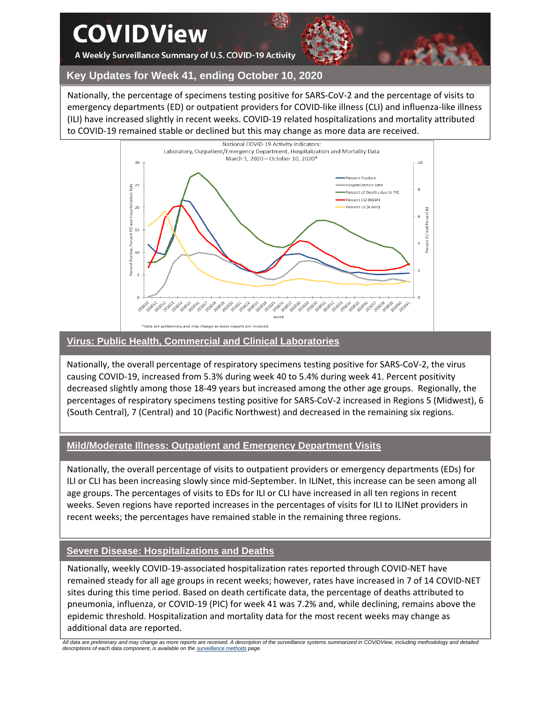**COVIDView** 

A Weekly Surveillance Summary of U.S. COVID-19 Activity



**Key Updates for Week 41, ending October 10, 2020**

Nationally, the percentage of specimens testing positive for SARS-CoV-2 and the percentage of visits to emergency departments (ED) or outpatient providers for COVID-like illness (CLI) and influenza-like illness (ILI) have increased slightly in recent weeks. COVID-19 related hospitalizations and mortality attributed to COVID-19 remained stable or declined but this may change as more data are received.



## **Virus: Public Health, Commercial and Clinical Laboratories**

Nationally, the overall percentage of respiratory specimens testing positive for SARS-CoV-2, the virus causing COVID-19, increased from 5.3% during week 40 to 5.4% during week 41. Percent positivity decreased slightly among those 18-49 years but increased among the other age groups. Regionally, the percentages of respiratory specimens testing positive for SARS-CoV-2 increased in Regions 5 (Midwest), 6 (South Central), 7 (Central) and 10 (Pacific Northwest) and decreased in the remaining six regions.

# **Mild/Moderate Illness: Outpatient and Emergency Department Visits**

Nationally, the overall percentage of visits to outpatient providers or emergency departments (EDs) for ILI or CLI has been increasing slowly since mid-September. In ILINet, this increase can be seen among all age groups. The percentages of visits to EDs for ILI or CLI have increased in all ten regions in recent weeks. Seven regions have reported increases in the percentages of visits for ILI to ILINet providers in recent weeks; the percentages have remained stable in the remaining three regions.

# **Severe Disease: Hospitalizations and Deaths**

Nationally, weekly COVID-19-associated hospitalization rates reported through COVID-NET have remained steady for all age groups in recent weeks; however, rates have increased in 7 of 14 COVID-NET sites during this time period. Based on death certificate data, the percentage of deaths attributed to pneumonia, influenza, or COVID-19 (PIC) for week 41 was 7.2% and, while declining, remains above the epidemic threshold. Hospitalization and mortality data for the most recent weeks may change as additional data are reported.

*All data are preliminary and may change as more reports are received. A description of the surveillance systems summarized in COVIDView, including methodology and detailed descriptions of each data component, is available on th[e surveillance methods](https://www.cdc.gov/coronavirus/2019-ncov/covid-data/covidview/purpose-methods.html) page.*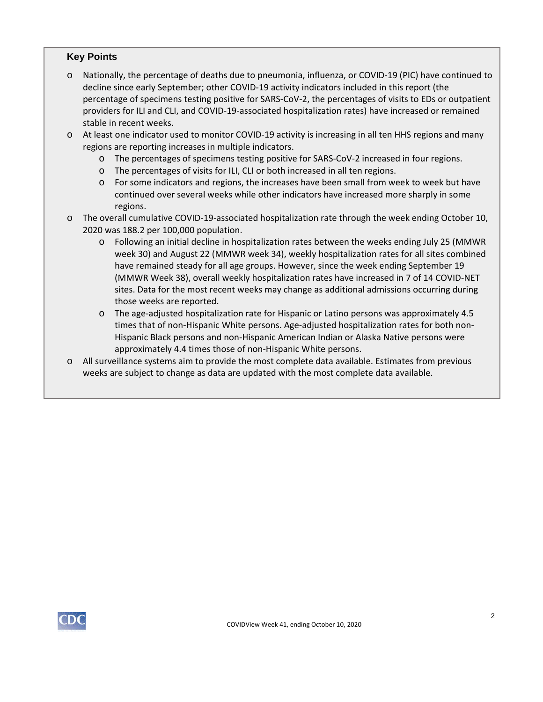### **Key Points**

o Nationally, the percentage of deaths due to pneumonia, influenza, or COVID-19 (PIC) have continued to decline since early September; other COVID-19 activity indicators included in this report (the percentage of specimens testing positive for SARS-CoV-2, the percentages of visits to EDs or outpatient providers for ILI and CLI, and COVID-19-associated hospitalization rates) have increased or remained stable in recent weeks.

o At least one indicator used to monitor COVID-19 activity is increasing in all ten HHS regions and many regions are reporting increases in multiple indicators.

- o The percentages of specimens testing positive for SARS-CoV-2 increased in four regions.
- o The percentages of visits for ILI, CLI or both increased in all ten regions.
- o For some indicators and regions, the increases have been small from week to week but have continued over several weeks while other indicators have increased more sharply in some regions.
- o The overall cumulative COVID-19-associated hospitalization rate through the week ending October 10, 2020 was 188.2 per 100,000 population.
	- o Following an initial decline in hospitalization rates between the weeks ending July 25 (MMWR week 30) and August 22 (MMWR week 34), weekly hospitalization rates for all sites combined have remained steady for all age groups. However, since the week ending September 19 (MMWR Week 38), overall weekly hospitalization rates have increased in 7 of 14 COVID-NET sites. Data for the most recent weeks may change as additional admissions occurring during those weeks are reported.
	- o The age-adjusted hospitalization rate for Hispanic or Latino persons was approximately 4.5 times that of non-Hispanic White persons. Age-adjusted hospitalization rates for both non-Hispanic Black persons and non-Hispanic American Indian or Alaska Native persons were approximately 4.4 times those of non-Hispanic White persons.
- o All surveillance systems aim to provide the most complete data available. Estimates from previous weeks are subject to change as data are updated with the most complete data available.

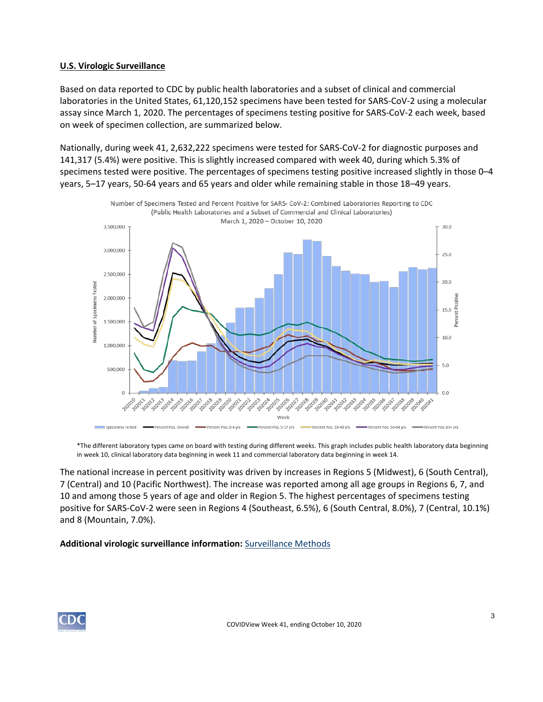### **U.S. Virologic Surveillance**

Based on data reported to CDC by public health laboratories and a subset of clinical and commercial laboratories in the United States, 61,120,152 specimens have been tested for SARS-CoV-2 using a molecular assay since March 1, 2020. The percentages of specimens testing positive for SARS-CoV-2 each week, based on week of specimen collection, are summarized below.

Nationally, during week 41, 2,632,222 specimens were tested for SARS-CoV-2 for diagnostic purposes and 141,317 (5.4%) were positive. This is slightly increased compared with week 40, during which 5.3% of specimens tested were positive. The percentages of specimens testing positive increased slightly in those 0–4 years, 5–17 years, 50-64 years and 65 years and older while remaining stable in those 18–49 years.



\*The different laboratory types came on board with testing during different weeks. This graph includes public health laboratory data beginning in week 10, clinical laboratory data beginning in week 11 and commercial laboratory data beginning in week 14.

The national increase in percent positivity was driven by increases in Regions 5 (Midwest), 6 (South Central), 7 (Central) and 10 (Pacific Northwest). The increase was reported among all age groups in Regions 6, 7, and 10 and among those 5 years of age and older in Region 5. The highest percentages of specimens testing positive for SARS-CoV-2 were seen in Regions 4 (Southeast, 6.5%), 6 (South Central, 8.0%), 7 (Central, 10.1%) and 8 (Mountain, 7.0%).

**Additional virologic surveillance information:** [Surveillance Methods](https://www.cdc.gov/coronavirus/2019-ncov/covid-data/covidview/purpose-methods.html#virologic) 

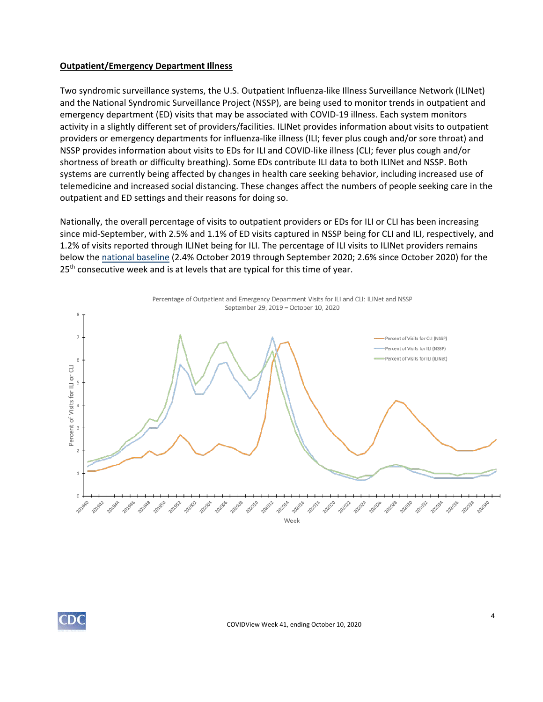### **Outpatient/Emergency Department Illness**

Two syndromic surveillance systems, the U.S. Outpatient Influenza-like Illness Surveillance Network (ILINet) and the National Syndromic Surveillance Project (NSSP), are being used to monitor trends in outpatient and emergency department (ED) visits that may be associated with COVID-19 illness. Each system monitors activity in a slightly different set of providers/facilities. ILINet provides information about visits to outpatient providers or emergency departments for influenza-like illness (ILI; fever plus cough and/or sore throat) and NSSP provides information about visits to EDs for ILI and COVID-like illness (CLI; fever plus cough and/or shortness of breath or difficulty breathing). Some EDs contribute ILI data to both ILINet and NSSP. Both systems are currently being affected by changes in health care seeking behavior, including increased use of telemedicine and increased social distancing. These changes affect the numbers of people seeking care in the outpatient and ED settings and their reasons for doing so.

Nationally, the overall percentage of visits to outpatient providers or EDs for ILI or CLI has been increasing since mid-September, with 2.5% and 1.1% of ED visits captured in NSSP being for CLI and ILI, respectively, and 1.2% of visits reported through ILINet being for ILI. The percentage of ILI visits to ILINet providers remains below the [national baseline](https://www.cdc.gov/coronavirus/2019-ncov/covid-data/covidview/purpose-methods.html#outpatient) (2.4% October 2019 through September 2020; 2.6% since October 2020) for the  $25<sup>th</sup>$  consecutive week and is at levels that are typical for this time of year.



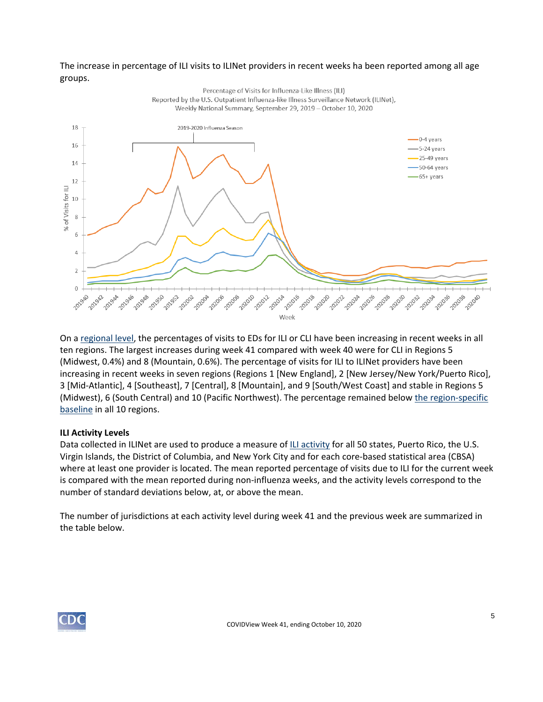## The increase in percentage of ILI visits to ILINet providers in recent weeks ha been reported among all age groups.



On a [regional level,](https://www.hhs.gov/about/agencies/iea/regional-offices/index.html) the percentages of visits to EDs for ILI or CLI have been increasing in recent weeks in all ten regions. The largest increases during week 41 compared with week 40 were for CLI in Regions 5 (Midwest, 0.4%) and 8 (Mountain, 0.6%). The percentage of visits for ILI to ILINet providers have been increasing in recent weeks in seven regions (Regions 1 [New England], 2 [New Jersey/New York/Puerto Rico], 3 [Mid-Atlantic], 4 [Southeast], 7 [Central], 8 [Mountain], and 9 [South/West Coast] and stable in Regions 5 (Midwest), 6 (South Central) and 10 (Pacific Northwest). The percentage remained below [the region-specific](https://www.cdc.gov/coronavirus/2019-ncov/covid-data/covidview/purpose-methods.html#outpatient) [baseline](https://www.cdc.gov/coronavirus/2019-ncov/covid-data/covidview/purpose-methods.html#outpatient) in all 10 regions.

### **ILI Activity Levels**

Data collected in ILINet are used to produce a measure of [ILI activity](https://www.cdc.gov/coronavirus/2019-ncov/covid-data/covidview/purpose-methods.html#outpatient) for all 50 states, Puerto Rico, the U.S. Virgin Islands, the District of Columbia, and New York City and for each core-based statistical area (CBSA) where at least one provider is located. The mean reported percentage of visits due to ILI for the current week is compared with the mean reported during non-influenza weeks, and the activity levels correspond to the number of standard deviations below, at, or above the mean.

The number of jurisdictions at each activity level during week 41 and the previous week are summarized in the table below.

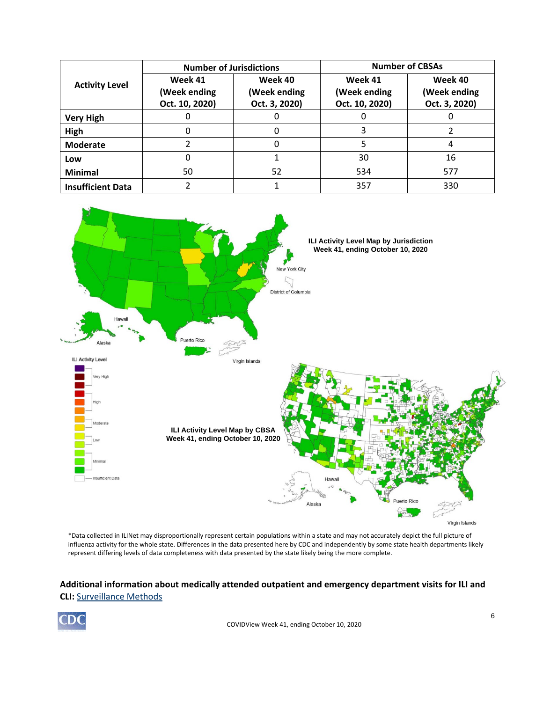| <b>Activity Level</b>    | <b>Number of Jurisdictions</b>            |                                          | <b>Number of CBSAs</b>                    |                                          |  |
|--------------------------|-------------------------------------------|------------------------------------------|-------------------------------------------|------------------------------------------|--|
|                          | Week 41<br>(Week ending<br>Oct. 10, 2020) | Week 40<br>(Week ending<br>Oct. 3, 2020) | Week 41<br>(Week ending<br>Oct. 10, 2020) | Week 40<br>(Week ending<br>Oct. 3, 2020) |  |
| <b>Very High</b>         |                                           |                                          |                                           |                                          |  |
| High                     |                                           |                                          |                                           |                                          |  |
| <b>Moderate</b>          |                                           |                                          |                                           | 4                                        |  |
| Low                      |                                           |                                          | 30                                        | 16                                       |  |
| <b>Minimal</b>           | 50                                        | 52                                       | 534                                       | 577                                      |  |
| <b>Insufficient Data</b> |                                           |                                          | 357                                       | 330                                      |  |



\*Data collected in ILINet may disproportionally represent certain populations within a state and may not accurately depict the full picture of influenza activity for the whole state. Differences in the data presented here by CDC and independently by some state health departments likely represent differing levels of data completeness with data presented by the state likely being the more complete.

## **Additional information about medically attended outpatient and emergency department visits for ILI and CLI:** [Surveillance Methods](https://www.cdc.gov/coronavirus/2019-ncov/covid-data/covidview/purpose-methods.html#outpatient)

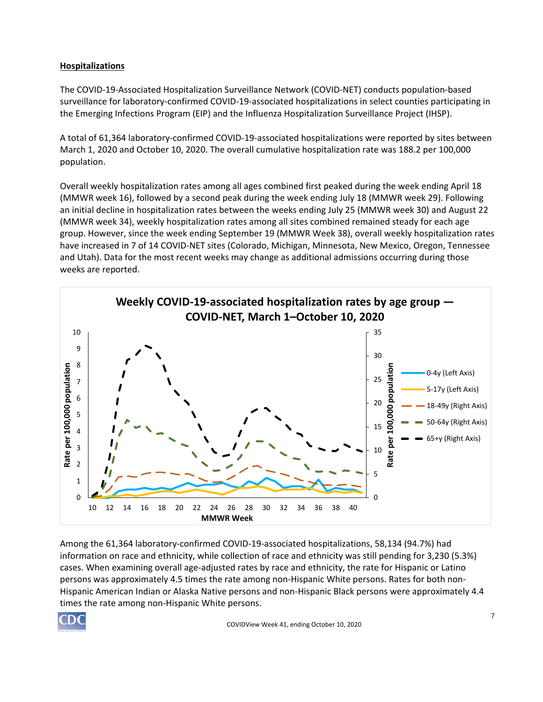## **Hospitalizations**

The COVID-19-Associated Hospitalization Surveillance Network (COVID-NET) conducts population-based surveillance for laboratory-confirmed COVID-19-associated hospitalizations in select counties participating in the Emerging Infections Program (EIP) and the Influenza Hospitalization Surveillance Project (IHSP).

A total of 61,364 laboratory-confirmed COVID-19-associated hospitalizations were reported by sites between March 1, 2020 and October 10, 2020. The overall cumulative hospitalization rate was 188.2 per 100,000 population.

Overall weekly hospitalization rates among all ages combined first peaked during the week ending April 18 (MMWR week 16), followed by a second peak during the week ending July 18 (MMWR week 29). Following an initial decline in hospitalization rates between the weeks ending July 25 (MMWR week 30) and August 22 (MMWR week 34), weekly hospitalization rates among all sites combined remained steady for each age group. However, since the week ending September 19 (MMWR Week 38), overall weekly hospitalization rates have increased in 7 of 14 COVID-NET sites (Colorado, Michigan, Minnesota, New Mexico, Oregon, Tennessee and Utah). Data for the most recent weeks may change as additional admissions occurring during those weeks are reported.



Among the 61,364 laboratory-confirmed COVID-19-associated hospitalizations, 58,134 (94.7%) had information on race and ethnicity, while collection of race and ethnicity was still pending for 3,230 (5.3%) cases. When examining overall age-adjusted rates by race and ethnicity, the rate for Hispanic or Latino persons was approximately 4.5 times the rate among non-Hispanic White persons. Rates for both non-Hispanic American Indian or Alaska Native persons and non-Hispanic Black persons were approximately 4.4 times the rate among non-Hispanic White persons.

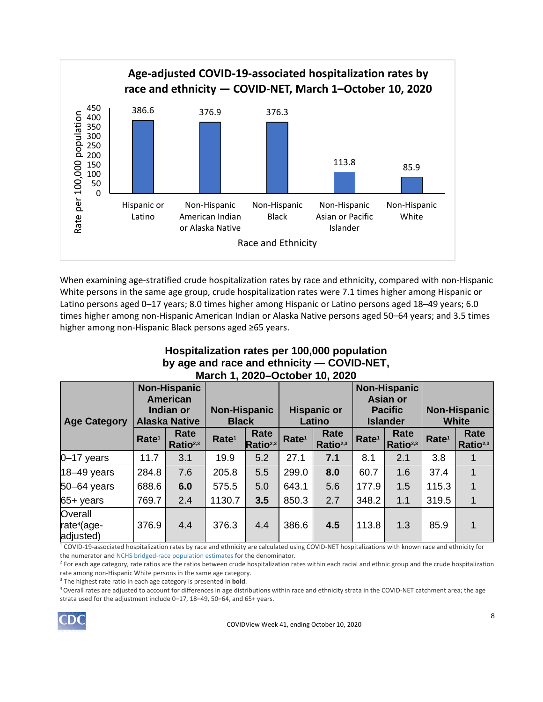

When examining age-stratified crude hospitalization rates by race and ethnicity, compared with non-Hispanic White persons in the same age group, crude hospitalization rates were 7.1 times higher among Hispanic or Latino persons aged 0–17 years; 8.0 times higher among Hispanic or Latino persons aged 18–49 years; 6.0 times higher among non-Hispanic American Indian or Alaska Native persons aged 50–64 years; and 3.5 times higher among non-Hispanic Black persons aged ≥65 years.

# **Hospitalization rates per 100,000 population by age and race and ethnicity — COVID-NET, March 1, 2020–October 10, 2020**

| <b>Alaska Native</b><br><b>Age Category</b>     |                   | <b>Non-Hispanic</b><br>American<br>Indian or | <b>Non-Hispanic</b><br><b>Black</b> |                              | <b>Hispanic or</b><br>Latino |                              | <b>Non-Hispanic</b><br><b>Asian or</b><br><b>Pacific</b><br><b>Islander</b> |                              | <b>Non-Hispanic</b><br><b>White</b> |                              |
|-------------------------------------------------|-------------------|----------------------------------------------|-------------------------------------|------------------------------|------------------------------|------------------------------|-----------------------------------------------------------------------------|------------------------------|-------------------------------------|------------------------------|
|                                                 | Rate <sup>1</sup> | Rate<br>Ratio <sup>2,3</sup>                 | Rate <sup>1</sup>                   | Rate<br>Ratio <sup>2,3</sup> | Rate <sup>1</sup>            | Rate<br>Ratio <sup>2,3</sup> | Rate <sup>1</sup>                                                           | Rate<br>Ratio <sup>2,3</sup> | Rate <sup>1</sup>                   | Rate<br>Ratio <sup>2,3</sup> |
| $0-17$ years                                    | 11.7              | 3.1                                          | 19.9                                | 5.2                          | 27.1                         | 7.1                          | 8.1                                                                         | 2.1                          | 3.8                                 |                              |
| $18-49$ years                                   | 284.8             | 7.6                                          | 205.8                               | 5.5                          | 299.0                        | 8.0                          | 60.7                                                                        | 1.6                          | 37.4                                | 1                            |
| 50-64 years                                     | 688.6             | 6.0                                          | 575.5                               | 5.0                          | 643.1                        | 5.6                          | 177.9                                                                       | 1.5                          | 115.3                               | 1                            |
| $65 + \text{years}$                             | 769.7             | 2.4                                          | 1130.7                              | 3.5                          | 850.3                        | 2.7                          | 348.2                                                                       | 1.1                          | 319.5                               | 1                            |
| Overall<br>rate <sup>4</sup> (age-<br>adjusted) | 376.9             | 4.4                                          | 376.3                               | 4.4                          | 386.6                        | 4.5                          | 113.8                                                                       | 1.3                          | 85.9                                | 1                            |

 $^1$  COVID-19-associated hospitalization rates by race and ethnicity are calculated using COVID-NET hospitalizations with known race and ethnicity for the numerator and [NCHS bridged-race population estimates](https://www.cdc.gov/nchs/nvss/bridged_race.htm) for the denominator.

<sup>2</sup> For each age category, rate ratios are the ratios between crude hospitalization rates within each racial and ethnic group and the crude hospitalization rate among non-Hispanic White persons in the same age category.

3  The highest rate ratio in each age category is presented in **bold**.

<sup>4</sup> Overall rates are adjusted to account for differences in age distributions within race and ethnicity strata in the COVID-NET catchment area; the age strata used for the adjustment include 0–17, 18–49, 50–64, and 65+ years.

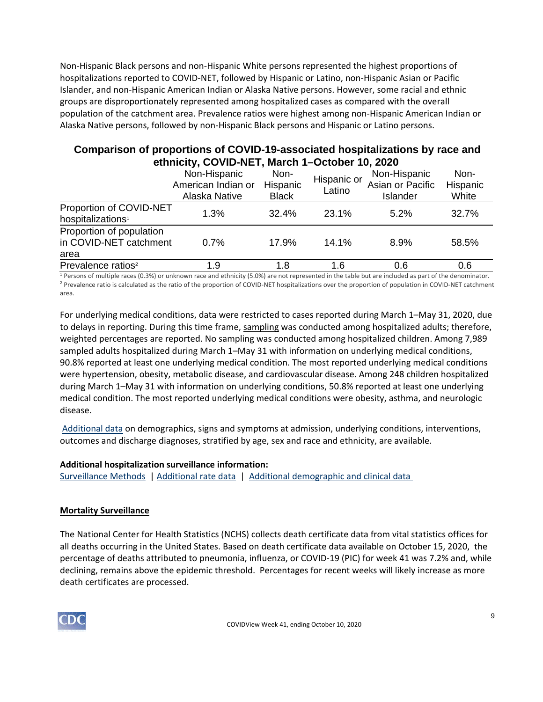Non-Hispanic Black persons and non-Hispanic White persons represented the highest proportions of hospitalizations reported to COVID-NET, followed by Hispanic or Latino, non-Hispanic Asian or Pacific Islander, and non-Hispanic American Indian or Alaska Native persons. However, some racial and ethnic groups are disproportionately represented among hospitalized cases as compared with the overall population of the catchment area. Prevalence ratios were highest among non-Hispanic American Indian or Alaska Native persons, followed by non-Hispanic Black persons and Hispanic or Latino persons.

# **Comparison of proportions of COVID-19-associated hospitalizations by race and ethnicity, COVID-NET, March 1–October 10, 2020**

|                                                            | Non-Hispanic<br>American Indian or<br>Alaska Native | Non-<br>Hispanic<br><b>Black</b> | Hispanic or<br>Latino | Non-Hispanic<br>Asian or Pacific<br>Islander | Non-<br>Hispanic<br>White |
|------------------------------------------------------------|-----------------------------------------------------|----------------------------------|-----------------------|----------------------------------------------|---------------------------|
| Proportion of COVID-NET<br>hospitalizations <sup>1</sup>   | 1.3%                                                | 32.4%                            | 23.1%                 | 5.2%                                         | 32.7%                     |
| Proportion of population<br>in COVID-NET catchment<br>area | 0.7%                                                | 17.9%                            | 14.1%                 | 8.9%                                         | 58.5%                     |
| Prevalence ratios <sup>2</sup>                             | 1.9                                                 | 1.8                              | 1.6                   | 0.6                                          | 0.6                       |

<sup>1</sup> Persons of multiple races (0.3%) or unknown race and ethnicity (5.0%) are not represented in the table but are included as part of the denominator. <sup>2</sup> Prevalence ratio is calculated as the ratio of the proportion of COVID-NET hospitalizations over the proportion of population in COVID-NET catchment area.

For underlying medical conditions, data were restricted to cases reported during March 1–May 31, 2020, due to delays in reporting. During this time frame, [sampling](https://www.cdc.gov/coronavirus/2019-ncov/covid-data/covidview/purpose-methods.html#hospitalization) was conducted among hospitalized adults; therefore, weighted percentages are reported. No sampling was conducted among hospitalized children. Among 7,989 sampled adults hospitalized during March 1–May 31 with information on underlying medical conditions, 90.8% reported at least one underlying medical condition. The most reported underlying medical conditions were hypertension, obesity, metabolic disease, and cardiovascular disease. Among 248 children hospitalized during March 1–May 31 with information on underlying conditions, 50.8% reported at least one underlying medical condition. The most reported underlying medical conditions were obesity, asthma, and neurologic disease.

[Additional data](https://gis.cdc.gov/grasp/COVIDNet/COVID19_5.html) on demographics, signs and symptoms at admission, underlying conditions, interventions, outcomes and discharge diagnoses, stratified by age, sex and race and ethnicity, are available.

### **Additional hospitalization surveillance information:**

[Surveillance Methods](https://www.cdc.gov/coronavirus/2019-ncov/covid-data/covidview/purpose-methods.html#hospitalization)  | [Additional rate data](https://gis.cdc.gov/grasp/COVIDNet/COVID19_3.html)  |  [Additional demographic and clinical data](https://gis.cdc.gov/grasp/COVIDNet/COVID19_5.html)

## **Mortality Surveillance**

The National Center for Health Statistics (NCHS) collects death certificate data from vital statistics offices for all deaths occurring in the United States. Based on death certificate data available on October 15, 2020, the percentage of deaths attributed to pneumonia, influenza, or COVID-19 (PIC) for week 41 was 7.2% and, while declining, remains above the epidemic threshold. Percentages for recent weeks will likely increase as more death certificates are processed.